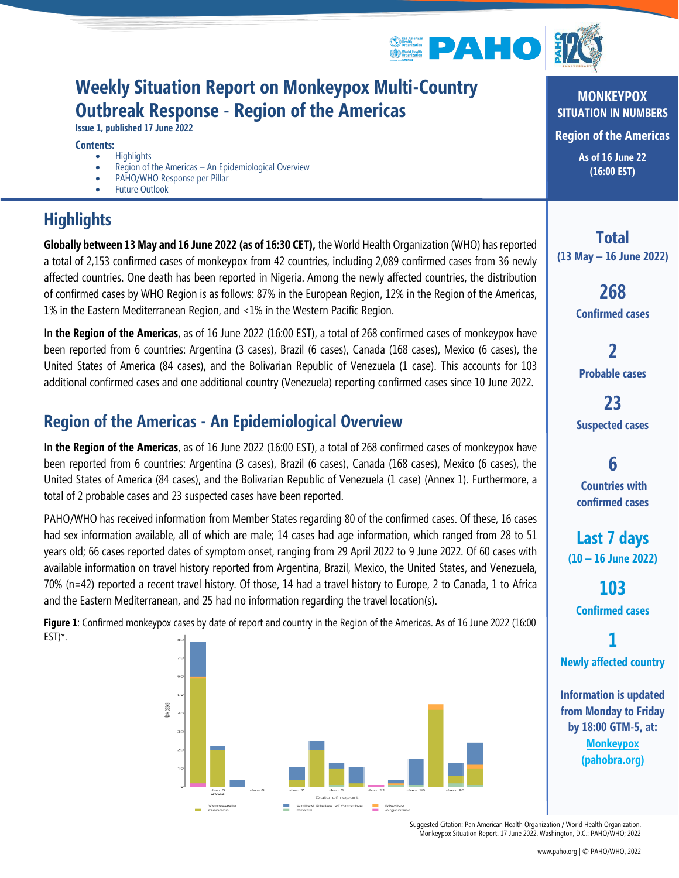

## **Weekly Situation Report on Monkeypox Multi-Country Outbreak Response - Region of the Americas**

**Issue 1, published 17 June 2022**

#### **Contents:**

- Highlights
- Region of the Americas An Epidemiological Overview
- PAHO/WHO Response per Pillar
- **Future Outlook**

## **Highlights**

**Globally between 13 May and 16 June 2022 (as of 16:30 CET),** the World Health Organization (WHO) has reported a total of 2,153 confirmed cases of monkeypox from 42 countries, including 2,089 confirmed cases from 36 newly affected countries. One death has been reported in Nigeria. Among the newly affected countries, the distribution of confirmed cases by WHO Region is as follows: 87% in the European Region, 12% in the Region of the Americas, 1% in the Eastern Mediterranean Region, and <1% in the Western Pacific Region.

In **the Region of the Americas**, as of 16 June 2022 (16:00 EST), a total of 268 confirmed cases of monkeypox have been reported from 6 countries: Argentina (3 cases), Brazil (6 cases), Canada (168 cases), Mexico (6 cases), the United States of America (84 cases), and the Bolivarian Republic of Venezuela (1 case). This accounts for 103 additional confirmed cases and one additional country (Venezuela) reporting confirmed cases since 10 June 2022.

### **Region of the Americas - An Epidemiological Overview**

In **the Region of the Americas**, as of 16 June 2022 (16:00 EST), a total of 268 confirmed cases of monkeypox have been reported from 6 countries: Argentina (3 cases), Brazil (6 cases), Canada (168 cases), Mexico (6 cases), the United States of America (84 cases), and the Bolivarian Republic of Venezuela (1 case) (Annex 1). Furthermore, a total of 2 probable cases and 23 suspected cases have been reported.

PAHO/WHO has received information from Member States regarding 80 of the confirmed cases. Of these, 16 cases had sex information available, all of which are male; 14 cases had age information, which ranged from 28 to 51 years old; 66 cases reported dates of symptom onset, ranging from 29 April 2022 to 9 June 2022. Of 60 cases with available information on travel history reported from Argentina, Brazil, Mexico, the United States, and Venezuela, 70% (n=42) reported a recent travel history. Of those, 14 had a travel history to Europe, 2 to Canada, 1 to Africa and the Eastern Mediterranean, and 25 had no information regarding the travel location(s).

**Figure 1**: Confirmed monkeypox cases by date of report and country in the Region of the Americas. As of 16 June 2022 (16:00 EST)\*.



**MONKEYPOX SITUATION IN NUMBERS Region of the Americas As of 16 June 22 (16:00 EST)**

**Total (13 May – 16 June 2022)**

> **268 Confirmed cases**

**2 Probable cases**

**23 Suspected cases**

**6 Countries with confirmed cases**

**Last 7 days (10 – 16 June 2022)**

**103 Confirmed cases**

**1 Newly affected country**

**Information is updated from Monday to Friday by 18:00 GTM-5, at: [Monkeypox](https://nam12.safelinks.protection.outlook.com/?url=https%3A%2F%2Fshiny.pahobra.org%2Fmonkeypox%2F&data=05%7C01%7Cswansonkri%40paho.org%7Cff21b4883c2444c0f8ef08da4fcb7e2c%7Ce610e79c2ec04e0f8a141e4b101519f7%7C0%7C0%7C637910032671351064%7CUnknown%7CTWFpbGZsb3d8eyJWIjoiMC4wLjAwMDAiLCJQIjoiV2luMzIiLCJBTiI6Ik1haWwiLCJXVCI6Mn0%3D%7C3000%7C%7C%7C&sdata=imoSXY4OjPC7WSUzPJ4y0bjQHG8KMaDLVBwel%2FPQa00%3D&reserved=0)  [\(pahobra.org\)](https://nam12.safelinks.protection.outlook.com/?url=https%3A%2F%2Fshiny.pahobra.org%2Fmonkeypox%2F&data=05%7C01%7Cswansonkri%40paho.org%7Cff21b4883c2444c0f8ef08da4fcb7e2c%7Ce610e79c2ec04e0f8a141e4b101519f7%7C0%7C0%7C637910032671351064%7CUnknown%7CTWFpbGZsb3d8eyJWIjoiMC4wLjAwMDAiLCJQIjoiV2luMzIiLCJBTiI6Ik1haWwiLCJXVCI6Mn0%3D%7C3000%7C%7C%7C&sdata=imoSXY4OjPC7WSUzPJ4y0bjQHG8KMaDLVBwel%2FPQa00%3D&reserved=0)**

Suggested Citation: Pan American Health Organization / World Health Organization. Monkeypox Situation Report. 17 June 2022. Washington, D.C.: PAHO/WHO; 2022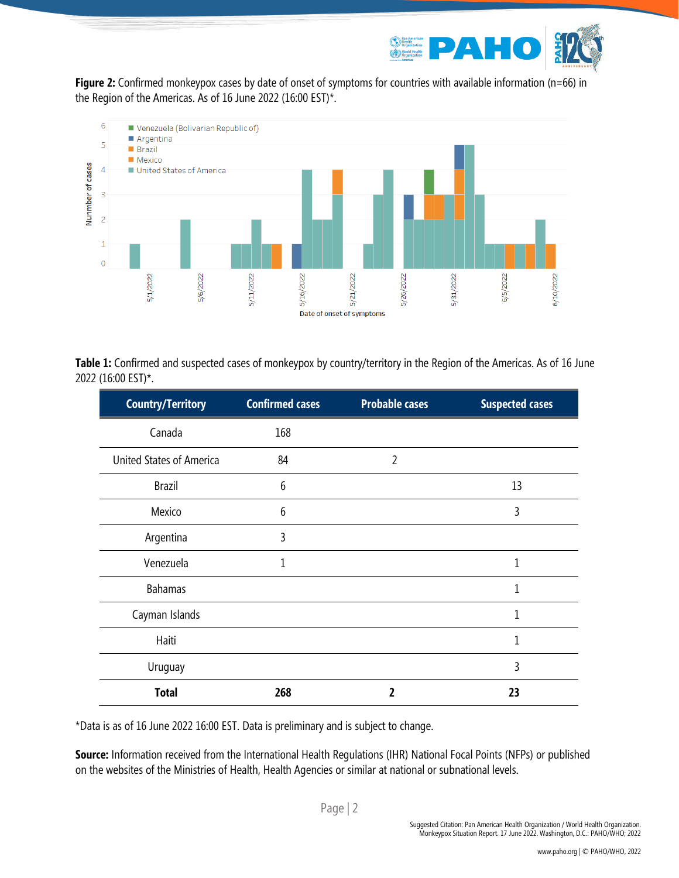

**Figure 2:** Confirmed monkeypox cases by date of onset of symptoms for countries with available information (n=66) in the Region of the Americas. As of 16 June 2022 (16:00 EST)\*.



**Table 1:** Confirmed and suspected cases of monkeypox by country/territory in the Region of the Americas. As of 16 June 2022 (16:00 EST)\*.

| <b>Country/Territory</b>        | <b>Confirmed cases</b> | <b>Probable cases</b> | <b>Suspected cases</b> |
|---------------------------------|------------------------|-----------------------|------------------------|
| Canada                          | 168                    |                       |                        |
| <b>United States of America</b> | 84                     | $\overline{2}$        |                        |
| <b>Brazil</b>                   | 6                      |                       | 13                     |
| Mexico                          | 6                      |                       | 3                      |
| Argentina                       | 3                      |                       |                        |
| Venezuela                       | 1                      |                       | 1                      |
| <b>Bahamas</b>                  |                        |                       | 1                      |
| Cayman Islands                  |                        |                       | 1                      |
| Haiti                           |                        |                       | 1                      |
| Uruguay                         |                        |                       | 3                      |
| <b>Total</b>                    | 268                    | 2                     | 23                     |

\*Data is as of 16 June 2022 16:00 EST. Data is preliminary and is subject to change.

**Source:** Information received from the International Health Regulations (IHR) National Focal Points (NFPs) or published on the websites of the Ministries of Health, Health Agencies or similar at national or subnational levels.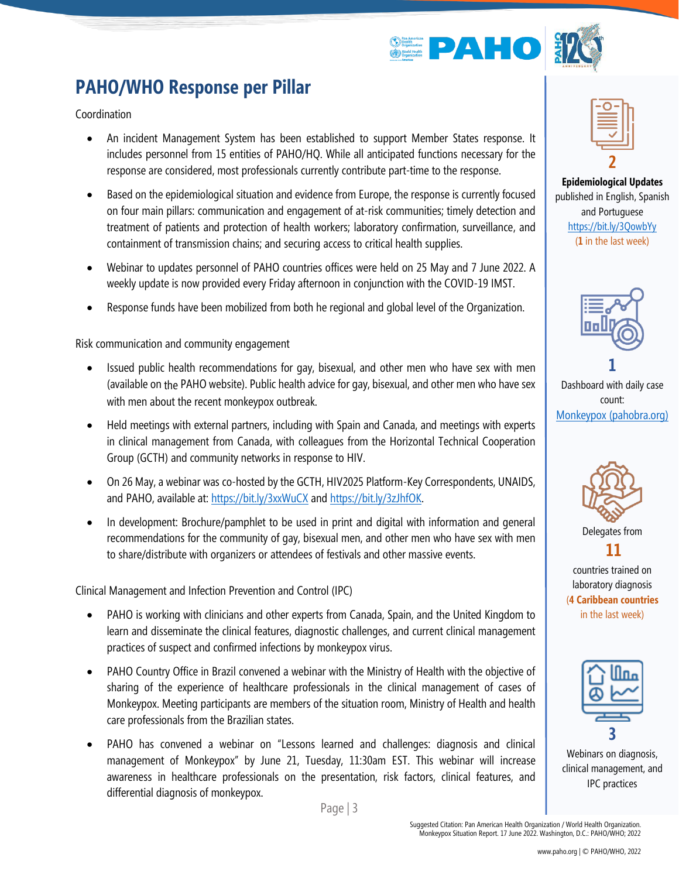

# **PAHO/WHO Response per Pillar**

Coordination

- An incident Management System has been established to support Member States response. It includes personnel from 15 entities of PAHO/HQ. While all anticipated functions necessary for the response are considered, most professionals currently contribute part-time to the response.
- Based on the epidemiological situation and evidence from Europe, the response is currently focused on four main pillars: communication and engagement of at-risk communities; timely detection and treatment of patients and protection of health workers; laboratory confirmation, surveillance, and containment of transmission chains; and securing access to critical health supplies.
- Webinar to updates personnel of PAHO countries offices were held on 25 May and 7 June 2022. A weekly update is now provided every Friday afternoon in conjunction with the COVID-19 IMST.
- Response funds have been mobilized from both he regional and global level of the Organization.

Risk communication and community engagement

- Issued public health recommendations for gay, bisexual, and other men who have sex with men (available on the PAHO website). Public health advice for gay, bisexual, and other men who have sex with men about the recent monkeypox outbreak.
- Held meetings with external partners, including with Spain and Canada, and meetings with experts in clinical management from Canada, with colleagues from the Horizontal Technical Cooperation Group (GCTH) and community networks in response to HIV.
- On 26 May, a webinar was co-hosted by the GCTH, HIV2025 Platform-Key Correspondents, UNAIDS, and PAHO, available at[: https://bit.ly/3xxWuCX](https://bit.ly/3xxWuCX) an[d https://bit.ly/3zJhfOK.](https://bit.ly/3zJhfOK)
- In development: Brochure/pamphlet to be used in print and digital with information and general recommendations for the community of gay, bisexual men, and other men who have sex with men to share/distribute with organizers or attendees of festivals and other massive events.

Clinical Management and Infection Prevention and Control (IPC)

- PAHO is working with clinicians and other experts from Canada, Spain, and the United Kingdom to learn and disseminate the clinical features, diagnostic challenges, and current clinical management practices of suspect and confirmed infections by monkeypox virus.
- PAHO Country Office in Brazil convened a webinar with the Ministry of Health with the objective of sharing of the experience of healthcare professionals in the clinical management of cases of Monkeypox. Meeting participants are members of the situation room, Ministry of Health and health care professionals from the Brazilian states.
- PAHO has convened a webinar on "Lessons learned and challenges: diagnosis and clinical management of Monkeypox" by June 21, Tuesday, 11:30am EST. This webinar will increase awareness in healthcare professionals on the presentation, risk factors, clinical features, and differential diagnosis of monkeypox.

Page | 3



**Epidemiological Updates** published in English, Spanish and Portuguese <https://bit.ly/3QowbYy> (**1** in the last week)



Dashboard with daily case count: [Monkeypox \(pahobra.org\)](https://nam12.safelinks.protection.outlook.com/?url=https%3A%2F%2Fshiny.pahobra.org%2Fmonkeypox%2F&data=05%7C01%7Cswansonkri%40paho.org%7Cff21b4883c2444c0f8ef08da4fcb7e2c%7Ce610e79c2ec04e0f8a141e4b101519f7%7C0%7C0%7C637910032671351064%7CUnknown%7CTWFpbGZsb3d8eyJWIjoiMC4wLjAwMDAiLCJQIjoiV2luMzIiLCJBTiI6Ik1haWwiLCJXVCI6Mn0%3D%7C3000%7C%7C%7C&sdata=imoSXY4OjPC7WSUzPJ4y0bjQHG8KMaDLVBwel%2FPQa00%3D&reserved=0)



countries trained on laboratory diagnosis (**4 Caribbean countries** in the last week)



Webinars on diagnosis, clinical management, and IPC practices

Suggested Citation: Pan American Health Organization / World Health Organization. Monkeypox Situation Report. 17 June 2022. Washington, D.C.: PAHO/WHO; 2022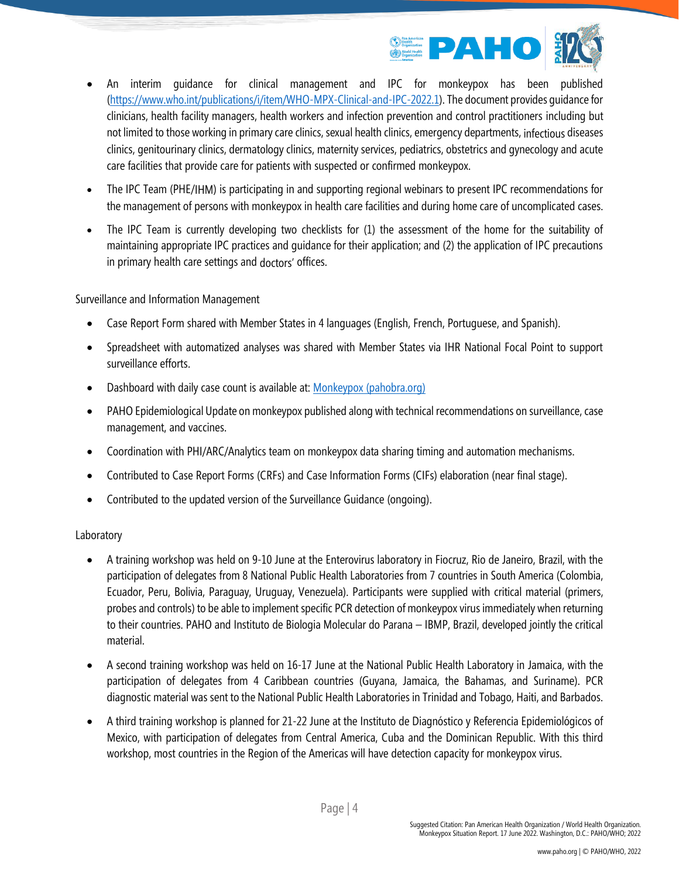

- An interim guidance for clinical management and IPC for monkeypox has been published [\(https://www.who.int/publications/i/item/WHO-MPX-Clinical-and-IPC-2022.1\)](https://www.who.int/publications/i/item/WHO-MPX-Clinical-and-IPC-2022.1). The document provides guidance for clinicians, health facility managers, health workers and infection prevention and control practitioners including but not limited to those working in primary care clinics, sexual health clinics, emergency departments, infectious diseases clinics, genitourinary clinics, dermatology clinics, maternity services, pediatrics, obstetrics and gynecology and acute care facilities that provide care for patients with suspected or confirmed monkeypox.
- The IPC Team (PHE/IHM) is participating in and supporting regional webinars to present IPC recommendations for the management of persons with monkeypox in health care facilities and during home care of uncomplicated cases.
- The IPC Team is currently developing two checklists for (1) the assessment of the home for the suitability of maintaining appropriate IPC practices and guidance for their application; and (2) the application of IPC precautions in primary health care settings and doctors' offices.

Surveillance and Information Management

- Case Report Form shared with Member States in 4 languages (English, French, Portuguese, and Spanish).
- Spreadsheet with automatized analyses was shared with Member States via IHR National Focal Point to support surveillance efforts.
- Dashboard with daily case count is available at: [Monkeypox \(pahobra.org\)](https://nam12.safelinks.protection.outlook.com/?url=https%3A%2F%2Fshiny.pahobra.org%2Fmonkeypox%2F&data=05%7C01%7Cswansonkri%40paho.org%7Cff21b4883c2444c0f8ef08da4fcb7e2c%7Ce610e79c2ec04e0f8a141e4b101519f7%7C0%7C0%7C637910032671351064%7CUnknown%7CTWFpbGZsb3d8eyJWIjoiMC4wLjAwMDAiLCJQIjoiV2luMzIiLCJBTiI6Ik1haWwiLCJXVCI6Mn0%3D%7C3000%7C%7C%7C&sdata=imoSXY4OjPC7WSUzPJ4y0bjQHG8KMaDLVBwel%2FPQa00%3D&reserved=0)
- PAHO Epidemiological Update on monkeypox published along with technical recommendations on surveillance, case management, and vaccines.
- Coordination with PHI/ARC/Analytics team on monkeypox data sharing timing and automation mechanisms.
- Contributed to Case Report Forms (CRFs) and Case Information Forms (CIFs) elaboration (near final stage).
- Contributed to the updated version of the Surveillance Guidance (ongoing).

#### Laboratory

- A training workshop was held on 9-10 June at the Enterovirus laboratory in Fiocruz, Rio de Janeiro, Brazil, with the participation of delegates from 8 National Public Health Laboratories from 7 countries in South America (Colombia, Ecuador, Peru, Bolivia, Paraguay, Uruguay, Venezuela). Participants were supplied with critical material (primers, probes and controls) to be able to implement specific PCR detection of monkeypox virus immediately when returning to their countries. PAHO and Instituto de Biologia Molecular do Parana – IBMP, Brazil, developed jointly the critical material.
- A second training workshop was held on 16-17 June at the National Public Health Laboratory in Jamaica, with the participation of delegates from 4 Caribbean countries (Guyana, Jamaica, the Bahamas, and Suriname). PCR diagnostic material was sent to the National Public Health Laboratories in Trinidad and Tobago, Haiti, and Barbados.
- A third training workshop is planned for 21-22 June at the Instituto de Diagnóstico y Referencia Epidemiológicos of Mexico, with participation of delegates from Central America, Cuba and the Dominican Republic. With this third workshop, most countries in the Region of the Americas will have detection capacity for monkeypox virus.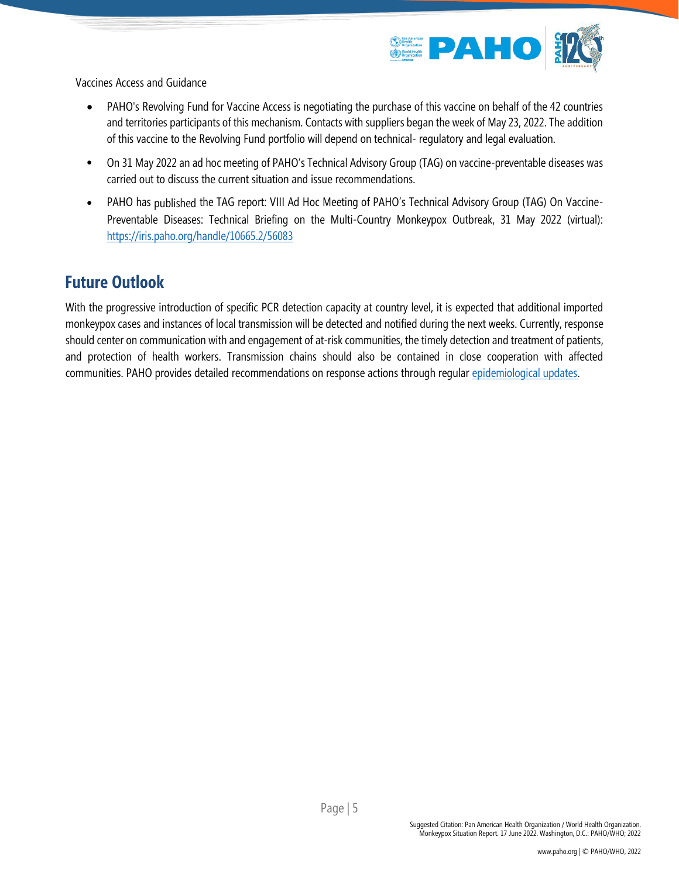

Vaccines Access and Guidance

- PAHO's Revolving Fund for Vaccine Access is negotiating the purchase of this vaccine on behalf of the 42 countries and territories participants of this mechanism. Contacts with suppliers began the week of May 23, 2022. The addition of this vaccine to the Revolving Fund portfolio will depend on technical- regulatory and legal evaluation.
- On 31 May 2022 an ad hoc meeting of PAHO's Technical Advisory Group (TAG) on vaccine-preventable diseases was carried out to discuss the current situation and issue recommendations.
- PAHO has published the TAG report: VIII Ad Hoc Meeting of PAHO's Technical Advisory Group (TAG) On Vaccine-Preventable Diseases: Technical Briefing on the Multi-Country Monkeypox Outbreak, 31 May 2022 (virtual): <https://iris.paho.org/handle/10665.2/56083>

#### **Future Outlook**

With the progressive introduction of specific PCR detection capacity at country level, it is expected that additional imported monkeypox cases and instances of local transmission will be detected and notified during the next weeks. Currently, response should center on communication with and engagement of at-risk communities, the timely detection and treatment of patients, and protection of health workers. Transmission chains should also be contained in close cooperation with affected communities. PAHO provides detailed recommendations on response actions through regula[r epidemiological updates.](https://www.paho.org/en/epidemiological-alerts-and-updates)